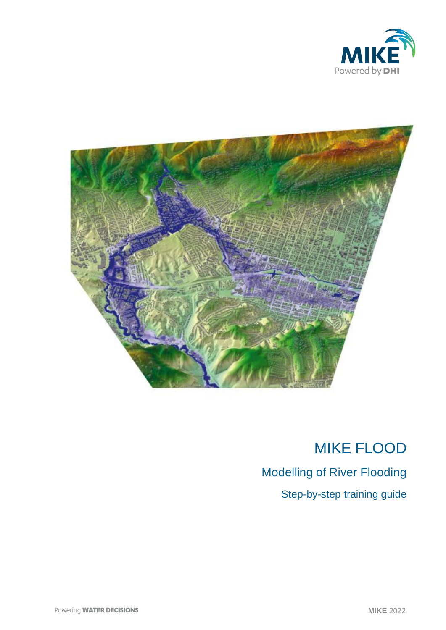



# MIKE FLOOD

Modelling of River Flooding

Step-by-step training guide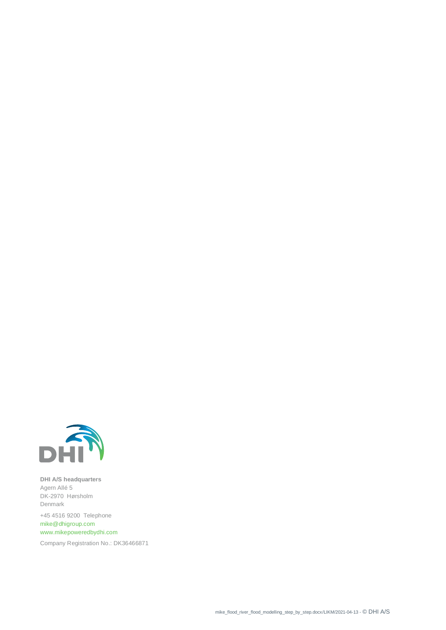

**DHI A/S headquarters** Agern Allé 5 DK-2970 Hørsholm Denmark

+45 4516 9200 Telephone mike@dhigroup.com www.mikepoweredbydhi.com

Company Registration No.: DK36466871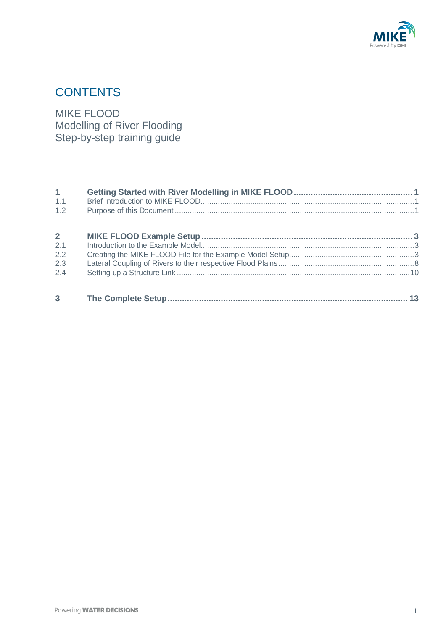

# **CONTENTS**

MIKE FLOOD Modelling of River Flooding Step-by-step training guide

| $\mathbf{1}$<br>1.1 |  |
|---------------------|--|
| 1.2                 |  |
| 2 <sup>1</sup>      |  |
| 2.1                 |  |
| 2.2                 |  |
| 2.3                 |  |
| 2.4                 |  |
| 3                   |  |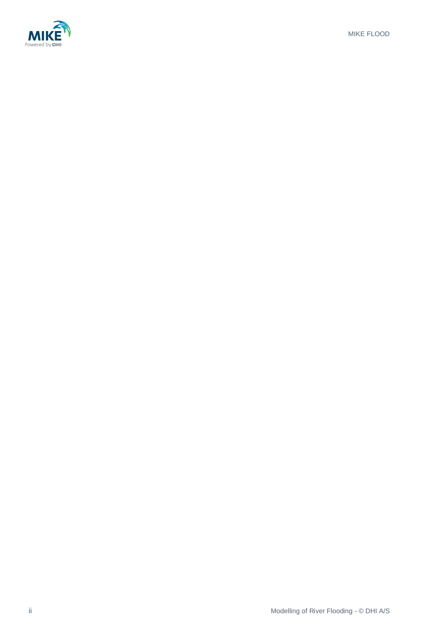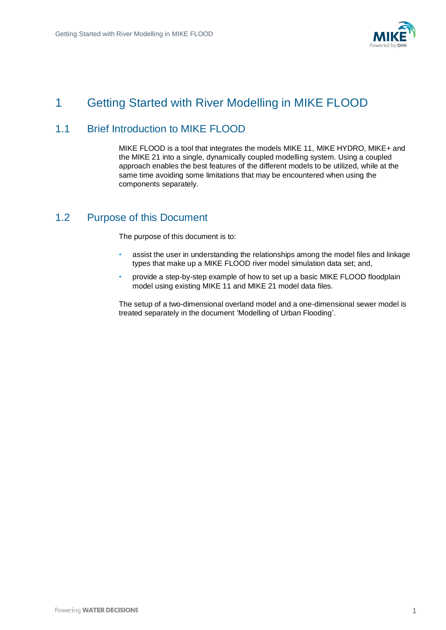

# 1 Getting Started with River Modelling in MIKE FLOOD

### 1.1 Brief Introduction to MIKE FLOOD

MIKE FLOOD is a tool that integrates the models MIKE 11, MIKE HYDRO, MIKE+ and the MIKE 21 into a single, dynamically coupled modelling system. Using a coupled approach enables the best features of the different models to be utilized, while at the same time avoiding some limitations that may be encountered when using the components separately.

### 1.2 Purpose of this Document

The purpose of this document is to:

- assist the user in understanding the relationships among the model files and linkage types that make up a MIKE FLOOD river model simulation data set; and,
- provide a step-by-step example of how to set up a basic MIKE FLOOD floodplain model using existing MIKE 11 and MIKE 21 model data files.

The setup of a two-dimensional overland model and a one-dimensional sewer model is treated separately in the document 'Modelling of Urban Flooding'.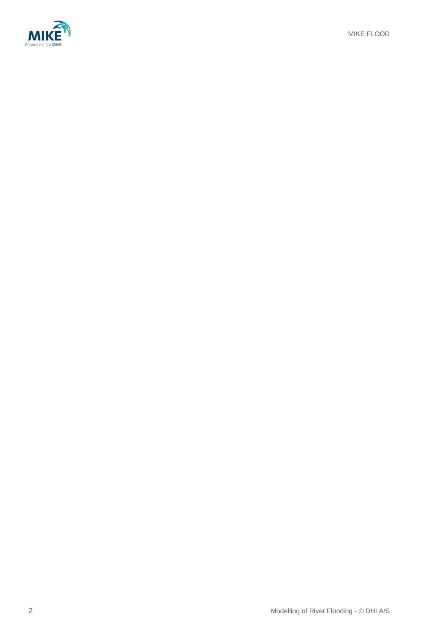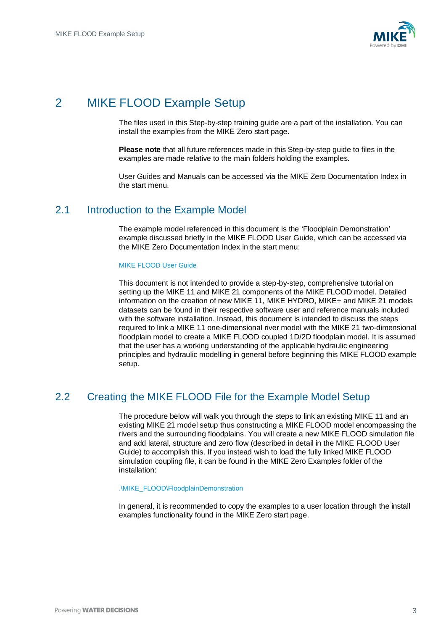

# 2 MIKE FLOOD Example Setup

The files used in this Step-by-step training guide are a part of the installation. You can install the examples from the MIKE Zero start page.

**Please note** that all future references made in this Step-by-step guide to files in the examples are made relative to the main folders holding the examples.

User Guides and Manuals can be accessed via the MIKE Zero Documentation Index in the start menu.

### 2.1 Introduction to the Example Model

The example model referenced in this document is the 'Floodplain Demonstration' example discussed briefly in the MIKE FLOOD User Guide, which can be accessed via the MIKE Zero Documentation Index in the start menu:

#### MIKE FLOOD User Guide

This document is not intended to provide a step-by-step, comprehensive tutorial on setting up the MIKE 11 and MIKE 21 components of the MIKE FLOOD model. Detailed information on the creation of new MIKE 11, MIKE HYDRO, MIKE+ and MIKE 21 models datasets can be found in their respective software user and reference manuals included with the software installation. Instead, this document is intended to discuss the steps required to link a MIKE 11 one-dimensional river model with the MIKE 21 two-dimensional floodplain model to create a MIKE FLOOD coupled 1D/2D floodplain model. It is assumed that the user has a working understanding of the applicable hydraulic engineering principles and hydraulic modelling in general before beginning this MIKE FLOOD example setup.

### 2.2 Creating the MIKE FLOOD File for the Example Model Setup

The procedure below will walk you through the steps to link an existing MIKE 11 and an existing MIKE 21 model setup thus constructing a MIKE FLOOD model encompassing the rivers and the surrounding floodplains. You will create a new MIKE FLOOD simulation file and add lateral, structure and zero flow (described in detail in the MIKE FLOOD User Guide) to accomplish this. If you instead wish to load the fully linked MIKE FLOOD simulation coupling file, it can be found in the MIKE Zero Examples folder of the installation:

#### .\MIKE\_FLOOD\FloodplainDemonstration

In general, it is recommended to copy the examples to a user location through the install examples functionality found in the MIKE Zero start page.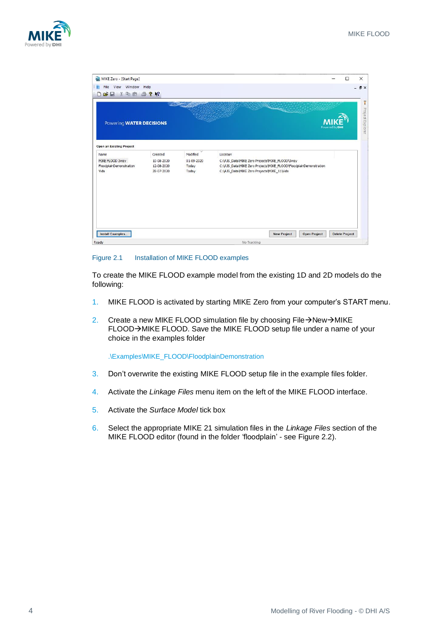

| MIKE Zero - [Start Page]<br>File View Window Help<br>i e<br>$D$ $B$ $B$ $B$ $B$ $B$ $R$ $R$   |                                                   |                                                    | $\Box$                                                                                                                                                                         | X<br>$ \theta$ $\times$ |
|-----------------------------------------------------------------------------------------------|---------------------------------------------------|----------------------------------------------------|--------------------------------------------------------------------------------------------------------------------------------------------------------------------------------|-------------------------|
| Powering WATER DECISIONS                                                                      |                                                   |                                                    | Powered by                                                                                                                                                                     | T<br>Project Explorer   |
| <b>Open an Existing Project</b><br>Name<br>MIKE FLOOD 3way<br>FloodplainDemonstration<br>Vida | Created<br>10-08-2020<br>12-08-2020<br>28-07-2020 | $\sim$<br>Modified<br>01-09-2020<br>Today<br>Today | Location<br>C:\AJS_Data\MIKE Zero Projects\MIKE_FLOOD\3way<br>C:\AJS_Data\MIKE Zero Projects\MIKE_FLOOD\FloodplainDemonstration<br>C:\AJS_Data\MIKE Zero Projects\MIKE_11\Vida |                         |
| Install Examples<br>Ready                                                                     |                                                   |                                                    | <b>Open Project</b><br><b>Delete Project</b><br><b>New Project</b><br>No Tracking                                                                                              |                         |

#### Figure 2.1 Installation of MIKE FLOOD examples

To create the MIKE FLOOD example model from the existing 1D and 2D models do the following:

- 1. MIKE FLOOD is activated by starting MIKE Zero from your computer's START menu.
- 2. Create a new MIKE FLOOD simulation file by choosing File→New→MIKE FLOOD→MIKE FLOOD. Save the MIKE FLOOD setup file under a name of your choice in the examples folder

.\Examples\MIKE\_FLOOD\FloodplainDemonstration

- 3. Don't overwrite the existing MIKE FLOOD setup file in the example files folder.
- 4. Activate the *Linkage Files* menu item on the left of the MIKE FLOOD interface.
- 5. Activate the *Surface Model* tick box
- 6. Select the appropriate MIKE 21 simulation files in the *Linkage Files* section of the MIKE FLOOD editor (found in the folder 'floodplain' - see [Figure 2.2\)](#page-8-0).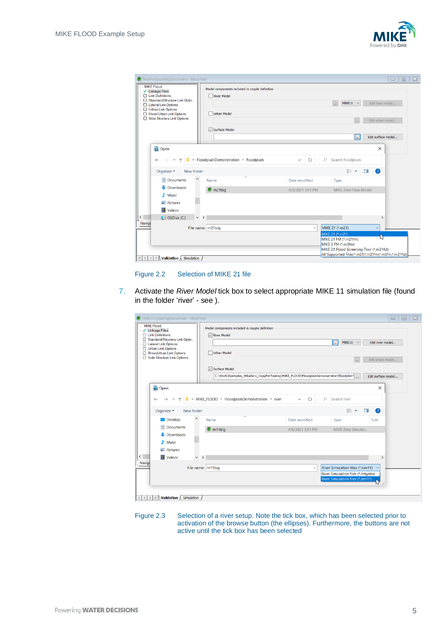

| TestForUpdatingDocument - Modified<br><b>MIKE Flood</b><br>$\checkmark$ Linkage Files<br>□ Link Definitions<br>Standard/Structure Link Optio<br><b>Lateral Link Options</b><br>Urban Link Options<br>River/Urban Link Options<br>Side Structure Link Options | Model components included in couple definition<br>River Model<br>Urban Model<br>Surface Model |                   | MIKE11 $\vee$<br>                                                                                                                                              | $\infty$<br>$\Box$<br>$\qquad \qquad =$<br>Edit river model<br>Edit urban model<br>Edit surface model |
|--------------------------------------------------------------------------------------------------------------------------------------------------------------------------------------------------------------------------------------------------------------|-----------------------------------------------------------------------------------------------|-------------------|----------------------------------------------------------------------------------------------------------------------------------------------------------------|-------------------------------------------------------------------------------------------------------|
| <b>Co</b> Open<br>$\leftarrow$<br>$\sim$                                                                                                                                                                                                                     | « FloodplainDemonstration > floodplain                                                        | Ü<br>$\checkmark$ | Search floodplain<br>Ω                                                                                                                                         | $\times$                                                                                              |
|                                                                                                                                                                                                                                                              |                                                                                               |                   |                                                                                                                                                                |                                                                                                       |
| New folder<br>Organize -                                                                                                                                                                                                                                     |                                                                                               |                   | E +<br>$\Box$                                                                                                                                                  | $\bullet$                                                                                             |
| Documents                                                                                                                                                                                                                                                    | Name                                                                                          | Date modified     | Type                                                                                                                                                           |                                                                                                       |
| Downloads                                                                                                                                                                                                                                                    | m <sub>21big</sub>                                                                            | 4/8/2021 3:51 PM  | <b>MIKE Zero Flow Model</b>                                                                                                                                    |                                                                                                       |
| $M$ Music                                                                                                                                                                                                                                                    |                                                                                               |                   |                                                                                                                                                                |                                                                                                       |
| $=$ Pictures                                                                                                                                                                                                                                                 |                                                                                               |                   |                                                                                                                                                                |                                                                                                       |
| <b>图</b> Videos                                                                                                                                                                                                                                              |                                                                                               |                   |                                                                                                                                                                |                                                                                                       |
| $\vert \langle$<br>$\bullet$ OSDisk (C:)<br>Naviga                                                                                                                                                                                                           | $\vee$ <                                                                                      |                   |                                                                                                                                                                | $\rightarrow$                                                                                         |
|                                                                                                                                                                                                                                                              | File name: m21big                                                                             | $\checkmark$      | MIKE 21 (*.m21)                                                                                                                                                | $\checkmark$                                                                                          |
| Validation / Simulation<br>НΙ                                                                                                                                                                                                                                |                                                                                               |                   | MIKE 21 (*.m21)<br>MIKE 21 FM (*.m21fm)<br>MIKE 3 FM (*.m3fm)<br>MIKE 21 Flood Screening Tool (*.m21fst)<br>All Supported Files(*.m21;*.m21fm;*.m3fm;*.m21fst) | $\gamma$                                                                                              |



<span id="page-8-0"></span>7. Activate the *River Model* tick box to select appropriate MIKE 11 simulation file (found in the folder 'river' - see ).

|                       | TestForUpdatingDocument - Modified                                                                                                                                                                                     |                                                                                                                                                                                          |                   |                                                                                                                  | $\mathbb{Z}$<br>$\Box$<br>$\qquad \qquad \qquad \Box$      |
|-----------------------|------------------------------------------------------------------------------------------------------------------------------------------------------------------------------------------------------------------------|------------------------------------------------------------------------------------------------------------------------------------------------------------------------------------------|-------------------|------------------------------------------------------------------------------------------------------------------|------------------------------------------------------------|
|                       | <b>MIKE Flood</b><br>$\checkmark$ Linkage Files<br>□ Link Definitions<br>Standard/Structure Link Optio<br><b>Lateral Link Options</b><br>Urban Link Options<br>River/Urban Link Options<br>Side Structure Link Options | Model components included in couple definition<br>River Model<br>Urban Model<br>Surface Model<br>C:\Work\Examples_MikeZero_CopyForTesting\MIKE_FLOOD\FloodplainDemonstration\floodplain\ |                   | MIKE11<br>$\checkmark$<br>                                                                                       | Edit river model<br>Edit urban model<br>Edit surface model |
|                       | <b>Chan</b> Open                                                                                                                                                                                                       |                                                                                                                                                                                          |                   |                                                                                                                  | X                                                          |
|                       |                                                                                                                                                                                                                        | « MIKE_FLOOD > FloodplainDemonstration > river                                                                                                                                           | Ü<br>$\checkmark$ | Ω<br>Search river                                                                                                |                                                            |
|                       | Organize $\sim$<br>New folder                                                                                                                                                                                          |                                                                                                                                                                                          |                   | E -                                                                                                              | $\bullet$<br>$\Box$                                        |
|                       | Λ<br>$\blacksquare$ Desktop                                                                                                                                                                                            | Name                                                                                                                                                                                     | Date modified     | Type                                                                                                             | <b>Size</b>                                                |
|                       | <b>Documents</b><br>闹<br>Downloads<br><b>Music</b>                                                                                                                                                                     | m11big                                                                                                                                                                                   | 4/8/2021 3:51 PM  | MIKE Zero Simulat                                                                                                |                                                            |
| $\checkmark$          | $=$ Pictures<br>Videos<br>$\checkmark$                                                                                                                                                                                 | $\,$ $\,$                                                                                                                                                                                |                   |                                                                                                                  | $\mathcal{P}$                                              |
| <b>Naviga</b>         |                                                                                                                                                                                                                        | File name: m11big                                                                                                                                                                        | $\checkmark$      | River Simulation files (*.sim11)<br>River Simulation files (*.mhydro)<br><b>River Simulation files (*.sim11)</b> | $\checkmark$<br>W                                          |
| $H$ $\rightarrow$ $H$ | <b>Validation</b> $\land$ Simulation                                                                                                                                                                                   |                                                                                                                                                                                          |                   |                                                                                                                  |                                                            |

Figure 2.3 Selection of a river setup. Note the tick box, which has been selected prior to activation of the browse button (the ellipses). Furthermore, the buttons are not active until the tick box has been selected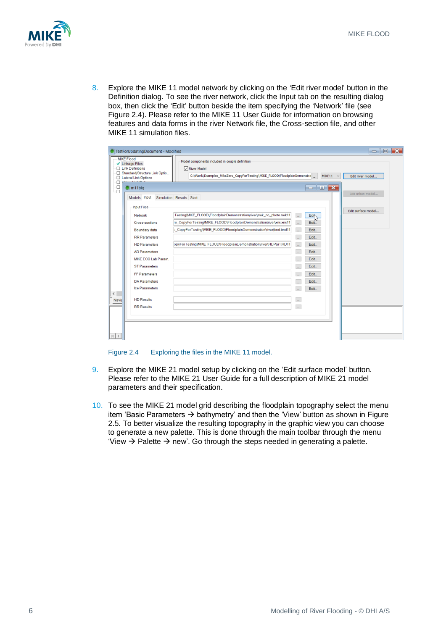

8. Explore the MIKE 11 model network by clicking on the 'Edit river model' button in the Definition dialog. To see the river network, click the Input tab on the resulting dialog box, then click the 'Edit' button beside the item specifying the 'Network' file (see [Figure 2.4\)](#page-9-0). Please refer to the MIKE 11 User Guide for information on browsing features and data forms in the river Network file, the Cross-section file, and other MIKE 11 simulation files.

| <b>MIKE Flood</b><br>✔ Linkage Files<br>□ Link Definitions<br>Standard/Structure Link Optio<br>□ Lateral Link Options | Model components included in couple definition<br>River Model<br>C:\Work\Examples_MikeZero_CopyForTesting\MIKE_FLOOD\FloodplainDemonstra | MIKE11 $\vee$<br>Edit river model |
|-----------------------------------------------------------------------------------------------------------------------|------------------------------------------------------------------------------------------------------------------------------------------|-----------------------------------|
| $\blacksquare$ m11big                                                                                                 | $\equiv$                                                                                                                                 | $\Box$<br>Edit urban model        |
| Models Input                                                                                                          | Simulation Results Start                                                                                                                 |                                   |
| <b>Input Files</b><br>Network                                                                                         | Testing\MIKE_FLOOD\FloodplainDemonstration\river\nwk_no_photo.nwk11<br>Edit <sub></sub><br>$\sim$                                        | Edit surface model                |
| Cross-sections                                                                                                        | To_CopyForTesting\MIKE_FLOOD\FloodplainDemonstration\river\xns.xns11<br>$\overline{\phantom{a}}$<br>Edit.                                |                                   |
| Boundary data                                                                                                         | >_CopyForTesting\MIKE_FLOOD\FloodplainDemonstration\river\bnd.bnd11<br>Edit.<br>$\bar{\omega}$                                           |                                   |
| <b>RR Parameters</b>                                                                                                  | $\overline{\phantom{a}}$<br>Edit.                                                                                                        |                                   |
| <b>HD Parameters</b>                                                                                                  | ppyForTesting\MIKE_FLOOD\FloodplainDemonstration\river\HDPar1.HD11<br>Edit.<br>$\overline{\mathcal{M}}$                                  |                                   |
| <b>AD Parameters</b>                                                                                                  | $\overline{\phantom{a}}$<br>Edit                                                                                                         |                                   |
| MIKE ECO Lab Param.                                                                                                   | Edit.<br>$\sim$                                                                                                                          |                                   |
| <b>ST Parameters</b>                                                                                                  | $\bar{\mathcal{L}}$<br>Edit                                                                                                              |                                   |
| <b>FF Parameters</b>                                                                                                  | Edit.<br>$\bar{\omega}$                                                                                                                  |                                   |
| <b>DA Parameters</b>                                                                                                  | Edit.<br>$\bar{\rm m}$                                                                                                                   |                                   |
| <b>Ice Parameters</b>                                                                                                 | Edit<br>$\bar{\rm m}$                                                                                                                    |                                   |
| <b>HD Results</b><br>Navid                                                                                            | $\overline{\phantom{a}}$                                                                                                                 |                                   |
| <b>RR</b> Results                                                                                                     | $\bar{\omega}$                                                                                                                           |                                   |
|                                                                                                                       |                                                                                                                                          |                                   |
|                                                                                                                       |                                                                                                                                          |                                   |
|                                                                                                                       |                                                                                                                                          |                                   |
|                                                                                                                       |                                                                                                                                          |                                   |

Figure 2.4 Exploring the files in the MIKE 11 model.

- <span id="page-9-0"></span>9. Explore the MIKE 21 model setup by clicking on the 'Edit surface model' button. Please refer to the MIKE 21 User Guide for a full description of MIKE 21 model parameters and their specification.
- 10. To see the MIKE 21 model grid describing the floodplain topography select the menu item 'Basic Parameters  $\rightarrow$  bathymetry' and then the 'View' button as shown in Figure [2.5.](#page-10-0) To better visualize the resulting topography in the graphic view you can choose to generate a new palette. This is done through the main toolbar through the menu 'View  $\rightarrow$  Palette  $\rightarrow$  new'. Go through the steps needed in generating a palette.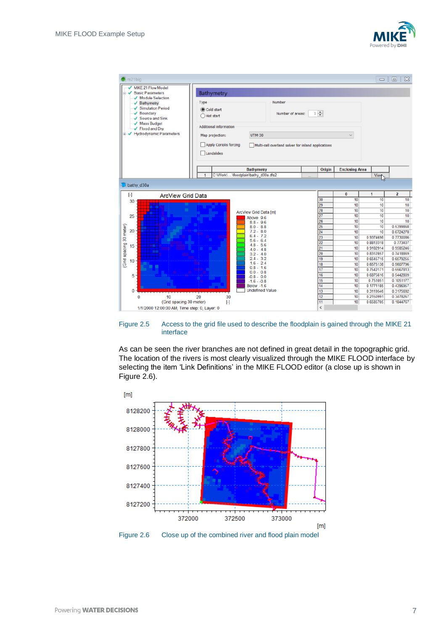



<span id="page-10-0"></span>Figure 2.5 Access to the grid file used to describe the floodplain is gained through the MIKE 21 interface

As can be seen the river branches are not defined in great detail in the topographic grid. The location of the rivers is most clearly visualized through the MIKE FLOOD interface by selecting the item 'Link Definitions' in the MIKE FLOOD editor (a close up is shown in [Figure 2.6\)](#page-10-1).



<span id="page-10-1"></span>Figure 2.6 Close up of the combined river and flood plain model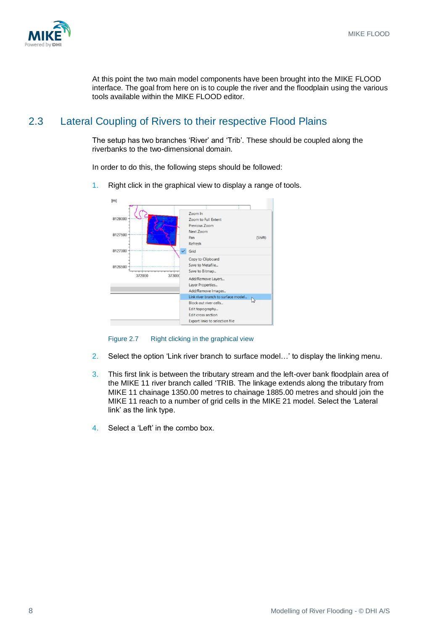



At this point the two main model components have been brought into the MIKE FLOOD interface. The goal from here on is to couple the river and the floodplain using the various tools available within the MIKE FLOOD editor.

## 2.3 Lateral Coupling of Rivers to their respective Flood Plains

The setup has two branches 'River' and 'Trib'. These should be coupled along the riverbanks to the two-dimensional domain.

In order to do this, the following steps should be followed:

1. Right click in the graphical view to display a range of tools.



Figure 2.7 Right clicking in the graphical view

- <span id="page-11-0"></span>2. Select the option 'Link river branch to surface model…' to display the linking menu.
- 3. This first link is between the tributary stream and the left-over bank floodplain area of the MIKE 11 river branch called 'TRIB. The linkage extends along the tributary from MIKE 11 chainage 1350.00 metres to chainage 1885.00 metres and should join the MIKE 11 reach to a number of grid cells in the MIKE 21 model. Select the 'Lateral link' as the link type.
- 4. Select a 'Left' in the combo box.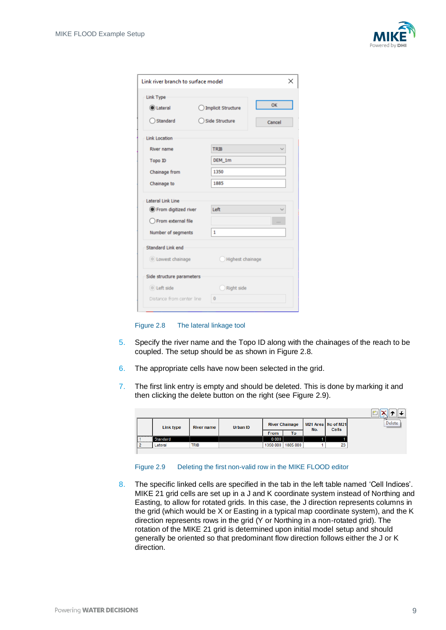

| Link river branch to surface model |                           | ×      |
|------------------------------------|---------------------------|--------|
| Link Type                          |                           |        |
| <b>O</b> Lateral                   | <b>Implicit Structure</b> | OK     |
| Standard                           | Side Structure            | Cancel |
| <b>Link Location</b>               |                           |        |
| River name                         | <b>TRIB</b>               |        |
| Topo ID                            | DEM_1m                    |        |
| Chainage from                      | 1350                      |        |
| Chainage to                        | 1885                      |        |
| <b>Lateral Link Line</b>           |                           |        |
| ● From digitized river             | Left                      |        |
| From external file                 |                           |        |
| Number of segments                 | $\mathbf{1}$              |        |
| Standard Link end                  |                           |        |
| C Lowest chainage                  | Highest chainage          |        |
| Side structure parameters          |                           |        |
| <b>O</b> Left side                 | Right side                |        |
| Distance from center line          | $\overline{0}$            |        |

#### Figure 2.8 The lateral linkage tool

- <span id="page-12-0"></span>5. Specify the river name and the Topo ID along with the chainages of the reach to be coupled. The setup should be as shown i[n Figure 2.8.](#page-12-0)
- 6. The appropriate cells have now been selected in the grid.
- 7. The first link entry is empty and should be deleted. This is done by marking it and then clicking the delete button on the right (see [Figure 2.9\)](#page-12-1).

|                                       |           |                   |          |                       |          |                           |              | $\mathbb{E}$  |
|---------------------------------------|-----------|-------------------|----------|-----------------------|----------|---------------------------|--------------|---------------|
|                                       | Link type | <b>River name</b> | Urban ID | <b>River Chainage</b> |          | M21 Area No of M21<br>No. | <b>Cells</b> | <b>Delete</b> |
|                                       |           |                   | From     | To                    |          |                           |              |               |
|                                       | Standard  |                   |          | 0.000                 |          |                           |              |               |
|                                       | Lateral   | <b>TRIB</b>       |          | 1350.000              | 1885.000 |                           | 23           |               |
| BAAAAAAAAAAAAAAAAAA<br>$\overline{2}$ |           |                   |          |                       |          |                           |              |               |



<span id="page-12-1"></span>8. The specific linked cells are specified in the tab in the left table named 'Cell Indices'. MIKE 21 grid cells are set up in a J and K coordinate system instead of Northing and Easting, to allow for rotated grids. In this case, the J direction represents columns in the grid (which would be X or Easting in a typical map coordinate system), and the K direction represents rows in the grid (Y or Northing in a non-rotated grid). The rotation of the MIKE 21 grid is determined upon initial model setup and should generally be oriented so that predominant flow direction follows either the J or K direction.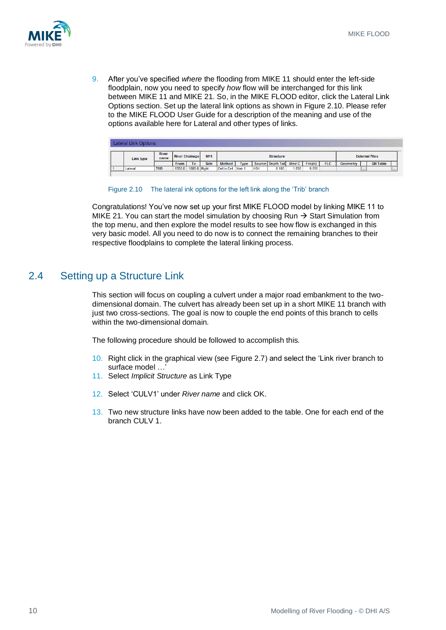

9. After you've specified *where* the flooding from MIKE 11 should enter the left-side floodplain, now you need to specify *how* flow will be interchanged for this link between MIKE 11 and MIKE 21. So, in the MIKE FLOOD editor, click the Lateral Link Options section. Set up the lateral link options as shown in [Figure 2.10.](#page-13-0) Please refer to the MIKE FLOOD User Guide for a description of the meaning and use of the options available here for Lateral and other types of links.

| <b>Lateral Link Options</b> |           |               |             |                       |             |                  |      |            |                    |                       |         |            |          |        |                 |              |
|-----------------------------|-----------|---------------|-------------|-----------------------|-------------|------------------|------|------------|--------------------|-----------------------|---------|------------|----------|--------|-----------------|--------------|
|                             | Link type | River<br>name |             | <b>River Chainage</b> | M11         | <b>Structure</b> |      |            |                    | <b>External Files</b> |         |            |          |        |                 |              |
|                             |           |               | <b>From</b> | To                    | <b>Side</b> | <b>Method</b>    | Type |            | Source   Depth Tol | <b>Weir C</b>         | Fric(n) | <b>FLC</b> | Geometry |        | <b>QH Table</b> |              |
|                             | ∟ateral   | <b>TRIB</b>   | 1350.0      | 1885.0 Right          |             | Cell to Cell     | Weir | <b>HGH</b> | 0.100              | 1.838                 | 0.050   |            |          | - معنا |                 | <b>Umper</b> |
|                             |           |               |             |                       |             |                  |      |            |                    |                       |         |            |          |        |                 |              |

#### Figure 2.10 The lateral ink options for the left link along the 'Trib' branch

<span id="page-13-0"></span>Congratulations! You've now set up your first MIKE FLOOD model by linking MIKE 11 to MIKE 21. You can start the model simulation by choosing Run  $\rightarrow$  Start Simulation from the top menu, and then explore the model results to see how flow is exchanged in this very basic model. All you need to do now is to connect the remaining branches to their respective floodplains to complete the lateral linking process.

### 2.4 Setting up a Structure Link

This section will focus on coupling a culvert under a major road embankment to the twodimensional domain. The culvert has already been set up in a short MIKE 11 branch with just two cross-sections. The goal is now to couple the end points of this branch to cells within the two-dimensional domain.

The following procedure should be followed to accomplish this.

- 10. Right click in the graphical view (see [Figure 2.7\)](#page-11-0) and select the 'Link river branch to surface model …'
- 11. Select *Implicit Structure* as Link Type
- 12. Select 'CULV1' under *River name* and click OK.
- 13. Two new structure links have now been added to the table. One for each end of the branch CULV 1.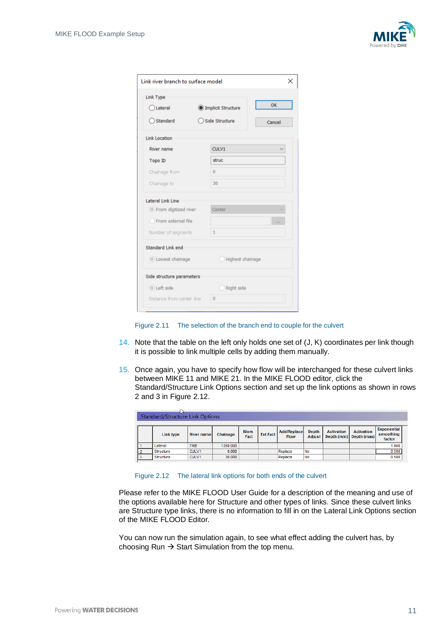

| Link river branch to surface model | ×                               |
|------------------------------------|---------------------------------|
| Link Type                          |                                 |
| Lateral                            | OK<br><b>Implicit Structure</b> |
| Standard                           | Side Structure<br>Cancel        |
| <b>Link Location</b>               |                                 |
| River name                         | CULV1                           |
| Topo ID                            | struc                           |
| Chainage from                      | $\bf{0}$                        |
| Chainage to                        | 30                              |
| <b>Lateral Link Line</b>           |                                 |
| (C) From digitized river           | Center<br>$\checkmark$          |
| From external file                 |                                 |
| Number of segments                 | $\mathbf{1}$                    |
| Standard Link end                  |                                 |
| C Lowest chainage                  | Highest chainage                |
| Side structure parameters          |                                 |
| <b>O</b> Left side                 | Right side                      |
| Distance from center line          | $\bf{0}$                        |

Figure 2.11 The selection of the branch end to couple for the culvert

- 14. Note that the table on the left only holds one set of  $(J, K)$  coordinates per link though it is possible to link multiple cells by adding them manually.
- 15. Once again, you have to specify how flow will be interchanged for these culvert links between MIKE 11 and MIKE 21. In the MIKE FLOOD editor, click the Standard/Structure Link Options section and set up the link options as shown in rows 2 and 3 i[n Figure 2.12.](#page-14-0)

|                                                                                                                                                                                                                                                        | иT<br>Standard/Structure Link Options |             |          |  |  |         |    |  |  |       |  |
|--------------------------------------------------------------------------------------------------------------------------------------------------------------------------------------------------------------------------------------------------------|---------------------------------------|-------------|----------|--|--|---------|----|--|--|-------|--|
| <b>Exponential</b><br><b>Activation</b><br>Add/Replace<br><b>Activation</b><br>Mom<br>Depth<br>smoothing<br><b>Ext Fact</b><br>Chainage<br>Link type<br><b>River name</b><br>Depth (min) Depth (max)<br>Fact<br><b>Adjust</b><br><b>Flow</b><br>factor |                                       |             |          |  |  |         |    |  |  |       |  |
|                                                                                                                                                                                                                                                        | Lateral                               | <b>TRIB</b> | 1350.000 |  |  |         |    |  |  | 1.000 |  |
|                                                                                                                                                                                                                                                        | Structure                             | CULV1       | 0.000    |  |  | Replace | No |  |  | 0.500 |  |
| 3                                                                                                                                                                                                                                                      | Structure                             | CULV1       | 30,000   |  |  | Replace | No |  |  | 0.500 |  |

#### Figure 2.12 The lateral link options for both ends of the culvert

<span id="page-14-0"></span>Please refer to the MIKE FLOOD User Guide for a description of the meaning and use of the options available here for Structure and other types of links. Since these culvert links are Structure type links, there is no information to fill in on the Lateral Link Options section of the MIKE FLOOD Editor.

You can now run the simulation again, to see what effect adding the culvert has, by choosing Run  $\rightarrow$  Start Simulation from the top menu.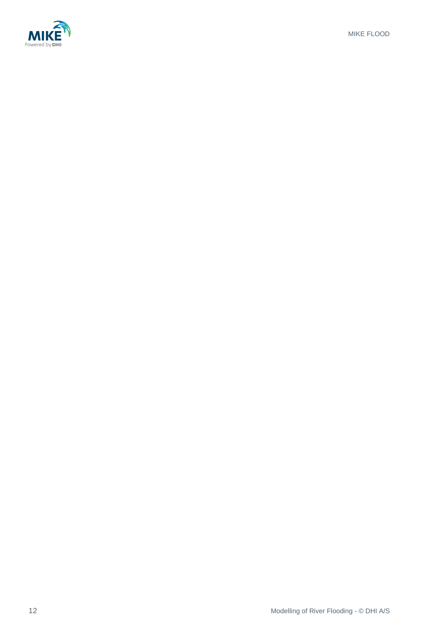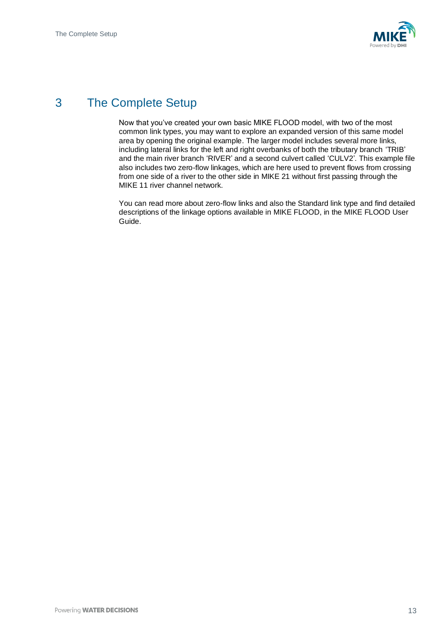

# 3 The Complete Setup

Now that you've created your own basic MIKE FLOOD model, with two of the most common link types, you may want to explore an expanded version of this same model area by opening the original example. The larger model includes several more links, including lateral links for the left and right overbanks of both the tributary branch 'TRIB' and the main river branch 'RIVER' and a second culvert called 'CULV2'. This example file also includes two zero-flow linkages, which are here used to prevent flows from crossing from one side of a river to the other side in MIKE 21 without first passing through the MIKE 11 river channel network.

You can read more about zero-flow links and also the Standard link type and find detailed descriptions of the linkage options available in MIKE FLOOD, in the MIKE FLOOD User Guide.